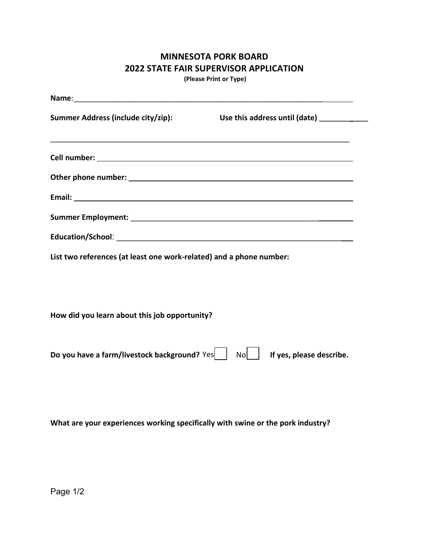## **MINNESOTA PORK BOARD 2022 STATE FAIR SUPERVISOR APPLICATION**

**(Please Print or Type)**

| Name: Name and the second contract of the second contract of the second contract of the second contract of the second contract of the second contract of the second contract of the second contract of the second contract of |                                            |  |
|-------------------------------------------------------------------------------------------------------------------------------------------------------------------------------------------------------------------------------|--------------------------------------------|--|
| Summer Address (include city/zip):                                                                                                                                                                                            | Use this address until (date) ____________ |  |
|                                                                                                                                                                                                                               |                                            |  |
|                                                                                                                                                                                                                               |                                            |  |
|                                                                                                                                                                                                                               |                                            |  |
|                                                                                                                                                                                                                               |                                            |  |
|                                                                                                                                                                                                                               |                                            |  |
| List two references (at least one work-related) and a phone number:                                                                                                                                                           |                                            |  |
| How did you learn about this job opportunity?                                                                                                                                                                                 |                                            |  |
| Do you have a farm/livestock background? Yes                                                                                                                                                                                  | If yes, please describe.<br>Nol I          |  |

**What are your experiences working specifically with swine or the pork industry?**